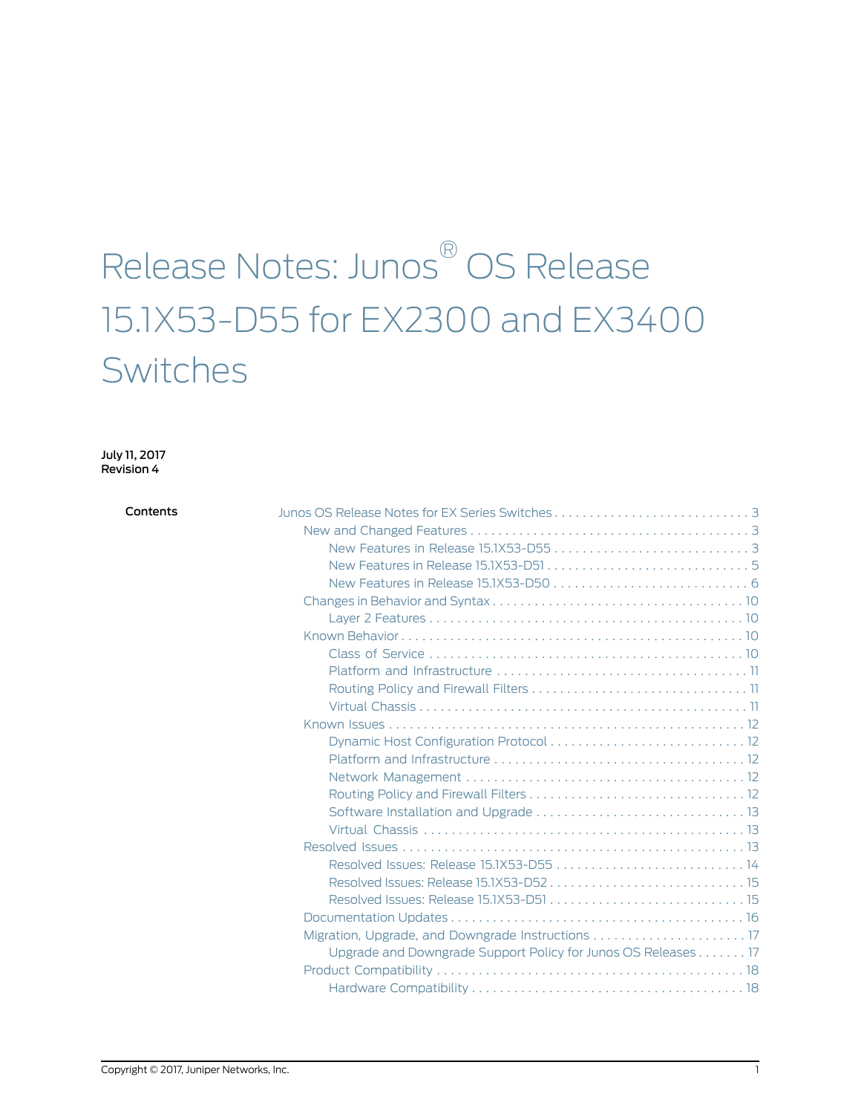# Release Notes: Junos ® OS Release 15.1X53-D55 for EX2300 and EX3400 Switches

July 11, 2017 Revision 4

| Contents |                                                               |
|----------|---------------------------------------------------------------|
|          |                                                               |
|          |                                                               |
|          |                                                               |
|          |                                                               |
|          |                                                               |
|          |                                                               |
|          |                                                               |
|          |                                                               |
|          |                                                               |
|          |                                                               |
|          |                                                               |
|          |                                                               |
|          |                                                               |
|          |                                                               |
|          |                                                               |
|          |                                                               |
|          |                                                               |
|          |                                                               |
|          |                                                               |
|          |                                                               |
|          |                                                               |
|          |                                                               |
|          |                                                               |
|          |                                                               |
|          | Upgrade and Downgrade Support Policy for Junos OS Releases 17 |
|          |                                                               |
|          |                                                               |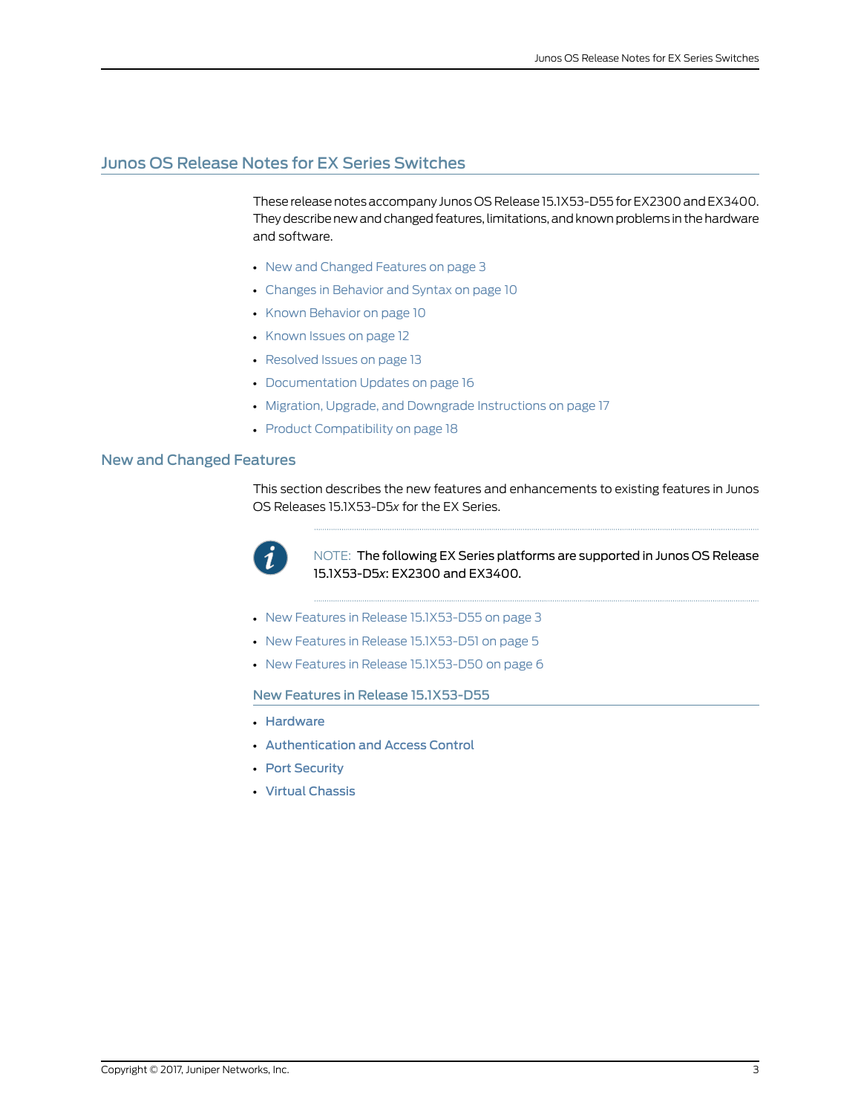### <span id="page-2-0"></span>Junos OS Release Notes for EX Series Switches

These release notes accompany Junos OS Release 15.1X53-D55 for EX2300 and EX3400. They describe new and changed features, limitations, and known problems in the hardware and software.

- New and [Changed](#page-2-1) Features on [page](#page-2-1) 3
- Changes in [Behavior](#page-9-0) and Syntax on [page](#page-9-0) 10
- Known [Behavior](#page-9-2) on [page](#page-9-2) 10
- [Known](#page-11-0) Issues on [page](#page-11-0) 12
- [Resolved](#page-12-2) Issues on [page](#page-12-2) 13
- [Documentation](#page-15-0) Updates on [page](#page-15-0) 16
- Migration, Upgrade, and Downgrade [Instructions](#page-16-0) on [page](#page-16-0) 17
- Product [Compatibility](#page-17-0) on [page](#page-17-0) 18

### <span id="page-2-1"></span>New and Changed Features

This section describes the new features and enhancements to existing features in Junos OS Releases 15.1X53-D5*x* for the EX Series.



NOTE: The following EX Series platforms are supported in Junos OS Release 15.1X53-D5*x*: EX2300 and EX3400.

- <span id="page-2-2"></span>• New Features in Release [15.1X53-D55](#page-2-2) on [page](#page-2-2) 3
- New Features in Release [15.1X53-D51](#page-4-0) on [page](#page-4-0) 5
- New Features in Release [15.1X53-D50](#page-5-0) on [page](#page-5-0) 6

New Features in Release 15.1X53-D55

- [Hardware](#page-3-0)
- [Authentication](#page-3-1) and Access Control
- Port [Security](#page-4-1)
- Virtual [Chassis](#page-4-2)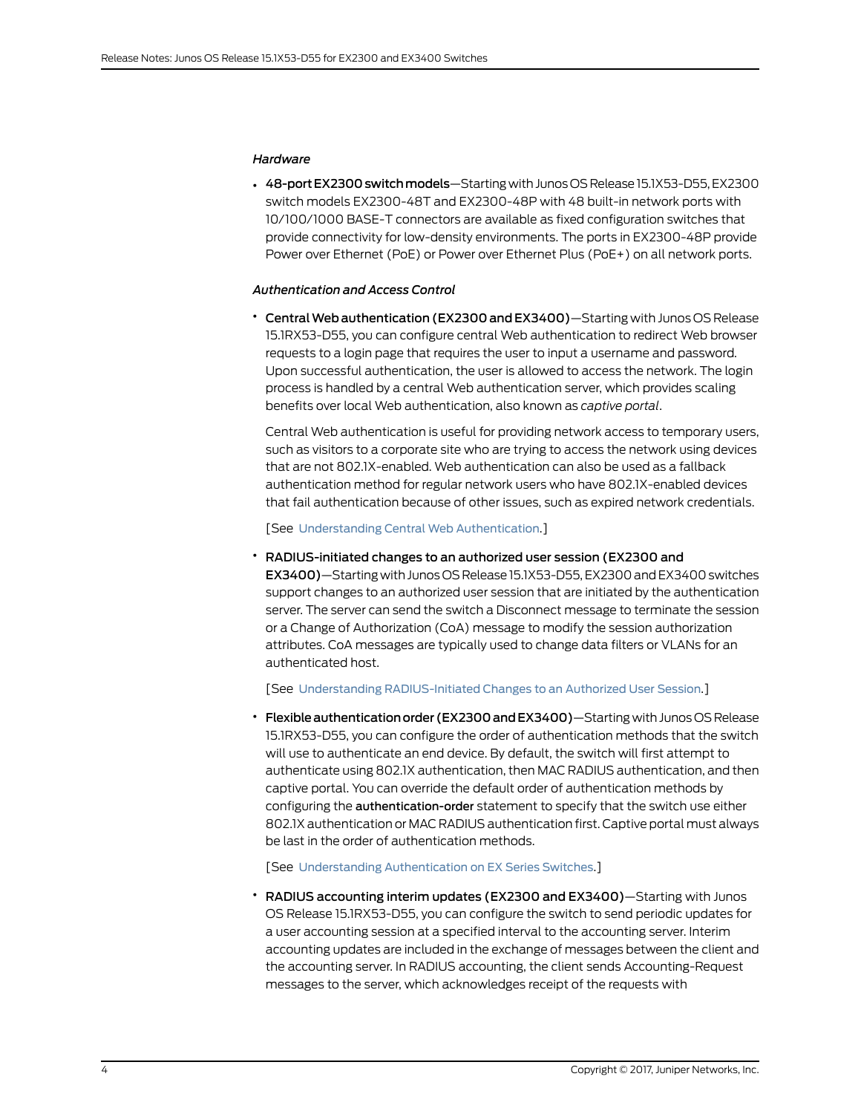### <span id="page-3-0"></span>*Hardware*

• 48-port EX2300 switch models-Starting with Junos OS Release 15.1X53-D55, EX2300 switch models EX2300-48T and EX2300-48P with 48 built-in network ports with 10/100/1000 BASE-T connectors are available as fixed configuration switches that provide connectivity for low-density environments. The ports in EX2300-48P provide Power over Ethernet (PoE) or Power over Ethernet Plus (PoE+) on all network ports.

### <span id="page-3-1"></span>*Authentication and Access Control*

• CentralWebauthentication(EX2300 andEX3400)—Starting with Junos OS Release 15.1RX53-D55, you can configure central Web authentication to redirect Web browser requests to a login page that requires the user to input a username and password. Upon successful authentication, the user is allowed to access the network. The login process is handled by a central Web authentication server, which provides scaling benefits over local Web authentication, also known as *captive portal*.

Central Web authentication is useful for providing network access to temporary users, such as visitors to a corporate site who are trying to access the network using devices that are not 802.1X-enabled. Web authentication can also be used as a fallback authentication method for regular network users who have 802.1X-enabled devices that fail authentication because of other issues, such as expired network credentials.

[See Understanding Central Web [Authentication](http://www.juniper.net/techpubs/en_US/junos15.1/topics/concept/central-web-authentication-understanding.html).]

### • RADIUS-initiated changes to an authorized user session (EX2300 and

EX3400)—Starting with Junos OS Release 15.1X53-D55, EX2300 and EX3400 switches support changes to an authorized user session that are initiated by the authentication server. The server can send the switch a Disconnect message to terminate the session or a Change of Authorization (CoA) message to modify the session authorization attributes. CoA messages are typically used to change data filters or VLANs for an authenticated host.

[See Understanding [RADIUS-Initiated](http://www.juniper.net/techpubs/en_US/junos15.1/topics/concept/802-1x-radius-initiated-changes.html) Changes to an Authorized User Session.]

• Flexibleauthenticationorder (EX2300andEX3400)—Starting with Junos OS Release 15.1RX53-D55, you can configure the order of authentication methods that the switch will use to authenticate an end device. By default, the switch will first attempt to authenticate using 802.1X authentication, then MAC RADIUS authentication, and then captive portal. You can override the default order of authentication methods by configuring the authentication-order statement to specify that the switch use either 802.1X authentication or MAC RADIUS authentication first. Captive portal must always be last in the order of authentication methods.

[See Understanding [Authentication](http://www.juniper.net/techpubs/en_US/junos15.1/topics/concept/authentication-understanding-ex-series-switches.html) on EX Series Switches.]

• RADIUS accounting interim updates (EX2300 and EX3400)—Starting with Junos OS Release 15.1RX53-D55, you can configure the switch to send periodic updates for a user accounting session at a specified interval to the accounting server. Interim accounting updates are included in the exchange of messages between the client and the accounting server. In RADIUS accounting, the client sends Accounting-Request messages to the server, which acknowledges receipt of the requests with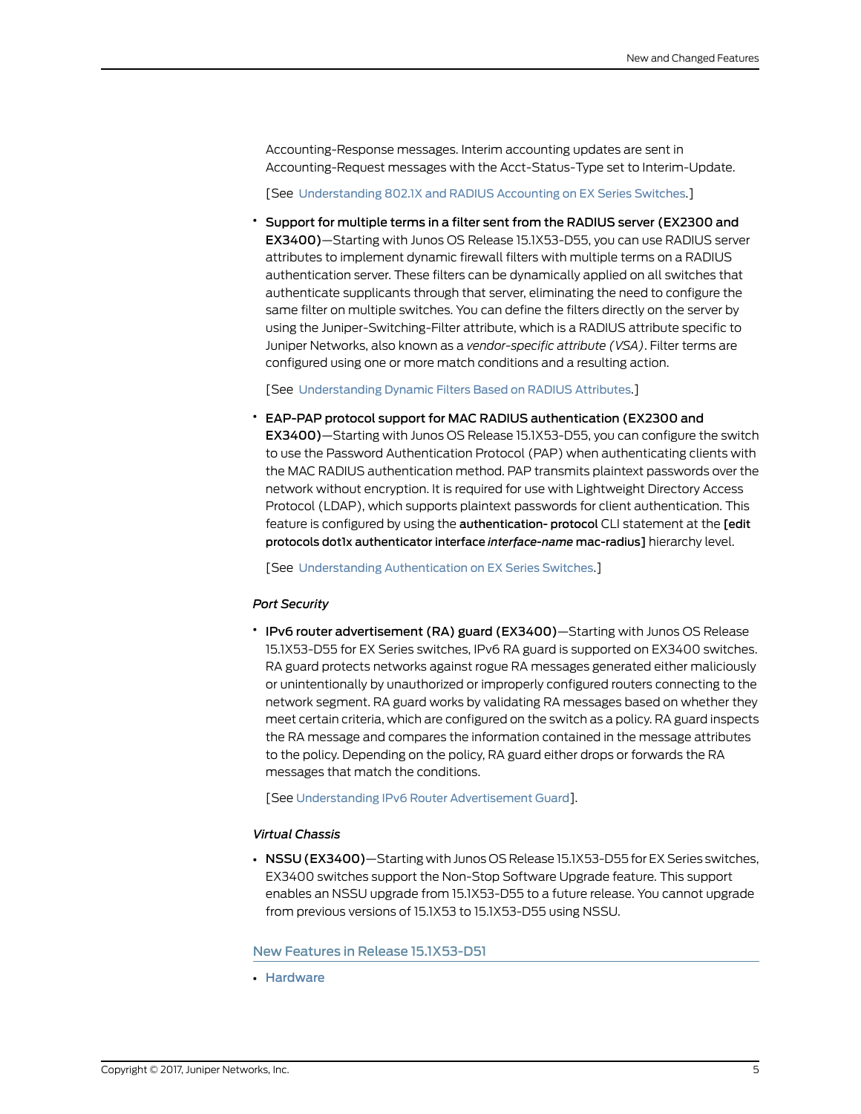Accounting-Response messages. Interim accounting updates are sent in Accounting-Request messages with the Acct-Status-Type set to Interim-Update.

[See [Understanding](http://www.juniper.net/techpubs/en_US/junos15.1/topics/concept/802-1x-pnac-accounting-understanding.html) 802.1X and RADIUS Accounting on EX Series Switches.]

• Support for multiple terms in a filter sent from the RADIUS server (EX2300 and EX3400)—Starting with Junos OS Release 15.1X53-D55, you can use RADIUS server attributes to implement dynamic firewall filters with multiple terms on a RADIUS authentication server. These filters can be dynamically applied on all switches that authenticate supplicants through that server, eliminating the need to configure the same filter on multiple switches. You can define the filters directly on the server by using the Juniper-Switching-Filter attribute, which is a RADIUS attribute specific to Juniper Networks, also known as a *vendor-specific attribute (VSA)*. Filter terms are configured using one or more match conditions and a resulting action.

[See [Understanding](http://www.juniper.net/techpubs/en_US/junos15.1/topics/concept/802-1x-pnac-vsa-understanding.html) Dynamic Filters Based on RADIUS Attributes.]

• EAP-PAP protocol support for MAC RADIUS authentication (EX2300 and

EX3400)—Starting with Junos OS Release 15.1X53-D55, you can configure the switch to use the Password Authentication Protocol (PAP) when authenticating clients with the MAC RADIUS authentication method. PAP transmits plaintext passwords over the network without encryption. It is required for use with Lightweight Directory Access Protocol (LDAP), which supports plaintext passwords for client authentication. This feature is configured by using the authentication- protocol CLI statement at the [edit protocols dot1x authenticator interface *interface-name* mac-radius] hierarchy level.

<span id="page-4-1"></span>[See Understanding [Authentication](http://www.juniper.net/techpubs/en_US/junos15.1/topics/concept/authentication-understanding-ex-series-switches.html) on EX Series Switches.]

#### *Port Security*

• IPv6 router advertisement (RA) guard (EX3400)—Starting with Junos OS Release 15.1X53-D55 for EX Series switches, IPv6 RA guard is supported on EX3400 switches. RA guard protects networks against rogue RA messages generated either maliciously or unintentionally by unauthorized or improperly configured routers connecting to the network segment. RA guard works by validating RA messages based on whether they meet certain criteria, which are configured on the switch as a policy. RA guard inspects the RA message and compares the information contained in the message attributes to the policy. Depending on the policy, RA guard either drops or forwards the RA messages that match the conditions.

<span id="page-4-2"></span>[See [Understanding](http://www.juniper.net/techpubs/en_US/junos15.1/topics/concept/port-security-ra-guard.html) IPv6 Router Advertisement Guard].

### *Virtual Chassis*

<span id="page-4-0"></span>• NSSU (EX3400)—Starting with Junos OS Release 15.1X53-D55 for EX Series switches, EX3400 switches support the Non-Stop Software Upgrade feature. This support enables an NSSU upgrade from 15.1X53-D55 to a future release. You cannot upgrade from previous versions of 15.1X53 to 15.1X53-D55 using NSSU.

New Features in Release 15.1X53-D51

• [Hardware](#page-5-1)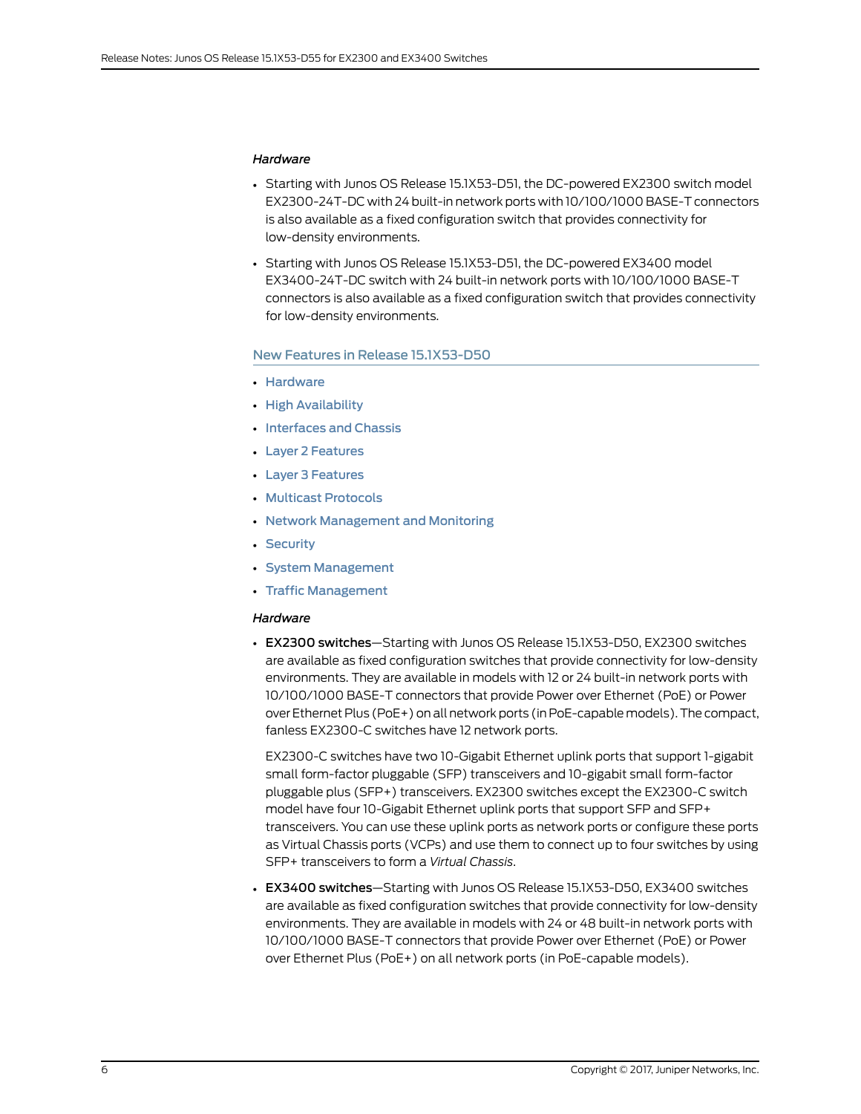### <span id="page-5-1"></span>*Hardware*

- Starting with Junos OS Release 15.1X53-D51, the DC-powered EX2300 switch model EX2300-24T-DC with 24 built-in network ports with 10/100/1000 BASE-T connectors is also available as a fixed configuration switch that provides connectivity for low-density environments.
- Starting with Junos OS Release 15.1X53-D51, the DC-powered EX3400 model EX3400-24T-DC switch with 24 built-in network ports with 10/100/1000 BASE-T connectors is also available as a fixed configuration switch that provides connectivity for low-density environments.

### <span id="page-5-0"></span>New Features in Release 15.1X53-D50

- [Hardware](#page-5-2)
- High [Availability](#page-6-0)
- [Interfaces](#page-6-1) and Chassis
- Layer 2 [Features](#page-6-2)
- Layer 3 [Features](#page-6-3)
- Multicast [Protocols](#page-7-0)
- Network [Management](#page-7-1) and Monitoring
- <span id="page-5-2"></span>• [Security](#page-7-2)
- System [Management](#page-8-0)
- Traffic [Management](#page-8-1)

### *Hardware*

• EX2300 switches—Starting with Junos OS Release 15.1X53-D50, EX2300 switches are available as fixed configuration switches that provide connectivity for low-density environments. They are available in models with 12 or 24 built-in network ports with 10/100/1000 BASE-T connectors that provide Power over Ethernet (PoE) or Power over Ethernet Plus (PoE+) on all network ports (in PoE-capablemodels).The compact, fanless EX2300-C switches have 12 network ports.

EX2300-C switches have two 10-Gigabit Ethernet uplink ports that support 1-gigabit small form-factor pluggable (SFP) transceivers and 10-gigabit small form-factor pluggable plus (SFP+) transceivers. EX2300 switches except the EX2300-C switch model have four 10-Gigabit Ethernet uplink ports that support SFP and SFP+ transceivers. You can use these uplink ports as network ports or configure these ports as Virtual Chassis ports (VCPs) and use them to connect up to four switches by using SFP+ transceivers to form a *Virtual Chassis*.

• EX3400 switches—Starting with Junos OS Release 15.1X53-D50, EX3400 switches are available as fixed configuration switches that provide connectivity for low-density environments. They are available in models with 24 or 48 built-in network ports with 10/100/1000 BASE-T connectors that provide Power over Ethernet (PoE) or Power over Ethernet Plus (PoE+) on all network ports (in PoE-capable models).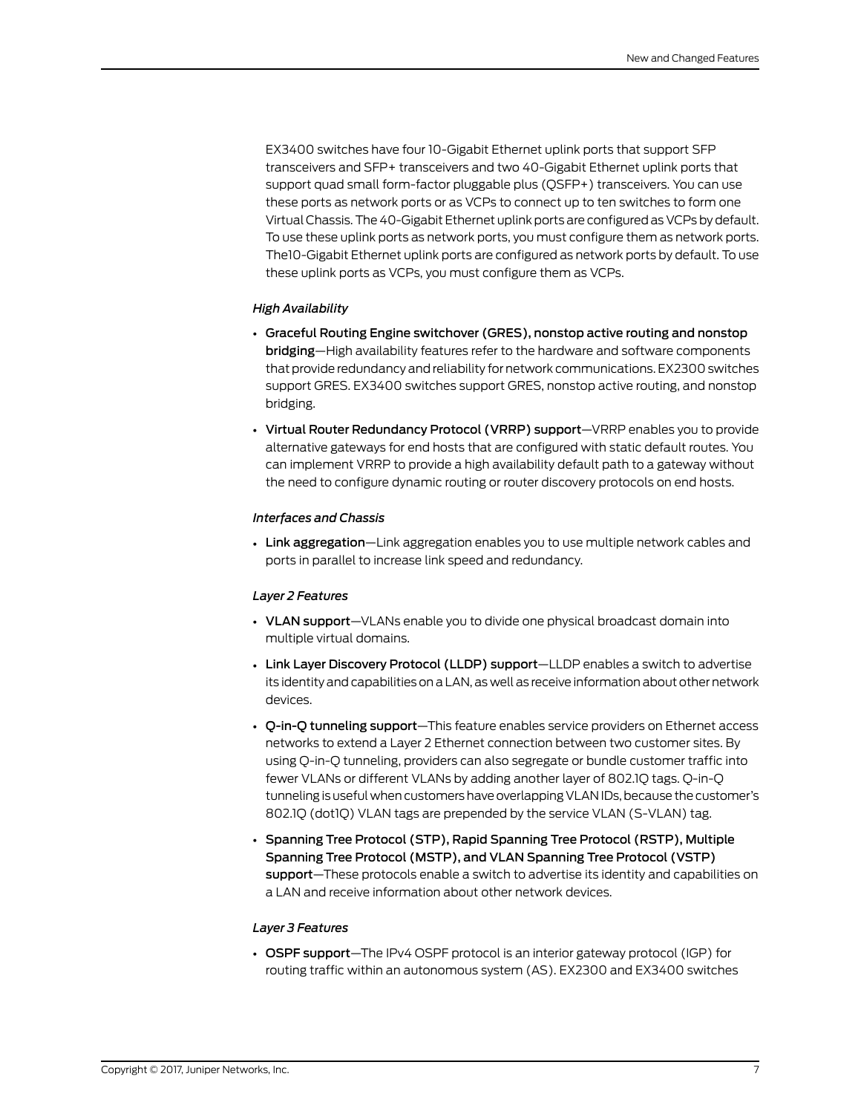EX3400 switches have four 10-Gigabit Ethernet uplink ports that support SFP transceivers and SFP+ transceivers and two 40-Gigabit Ethernet uplink ports that support quad small form-factor pluggable plus (QSFP+) transceivers. You can use these ports as network ports or as VCPs to connect up to ten switches to form one Virtual Chassis.The 40-Gigabit Ethernet uplink ports are configured as VCPs by default. To use these uplink ports as network ports, you must configure them as network ports. The10-Gigabit Ethernet uplink ports are configured as network ports by default. To use these uplink ports as VCPs, you must configure them as VCPs.

### <span id="page-6-0"></span>*High Availability*

- Graceful Routing Engine switchover (GRES), nonstop active routing and nonstop bridging—High availability features refer to the hardware and software components that provide redundancy and reliability for network communications. EX2300 switches support GRES. EX3400 switches support GRES, nonstop active routing, and nonstop bridging.
- <span id="page-6-1"></span>• Virtual Router Redundancy Protocol (VRRP) support—VRRP enables you to provide alternative gateways for end hosts that are configured with static default routes. You can implement VRRP to provide a high availability default path to a gateway without the need to configure dynamic routing or router discovery protocols on end hosts.

### *Interfaces and Chassis*

<span id="page-6-2"></span>• Link aggregation—Link aggregation enables you to use multiple network cables and ports in parallel to increase link speed and redundancy.

### *Layer 2 Features*

- VLAN support-VLANs enable you to divide one physical broadcast domain into multiple virtual domains.
- Link Layer Discovery Protocol (LLDP) support—LLDP enables a switch to advertise its identity and capabilities on a LAN, as well as receive information about other network devices.
- Q-in-Q tunneling support—This feature enables service providers on Ethernet access networks to extend a Layer 2 Ethernet connection between two customer sites. By using Q-in-Q tunneling, providers can also segregate or bundle customer traffic into fewer VLANs or different VLANs by adding another layer of 802.1Q tags. Q-in-Q tunneling is useful when customers have overlapping VLAN IDs, because the customer's 802.1Q (dot1Q) VLAN tags are prepended by the service VLAN (S-VLAN) tag.
- <span id="page-6-3"></span>• Spanning Tree Protocol (STP), Rapid Spanning Tree Protocol (RSTP), Multiple Spanning Tree Protocol (MSTP), and VLAN Spanning Tree Protocol (VSTP) support—These protocols enable a switch to advertise its identity and capabilities on a LAN and receive information about other network devices.

### *Layer 3 Features*

• OSPF support—The IPv4 OSPF protocol is an interior gateway protocol (IGP) for routing traffic within an autonomous system (AS). EX2300 and EX3400 switches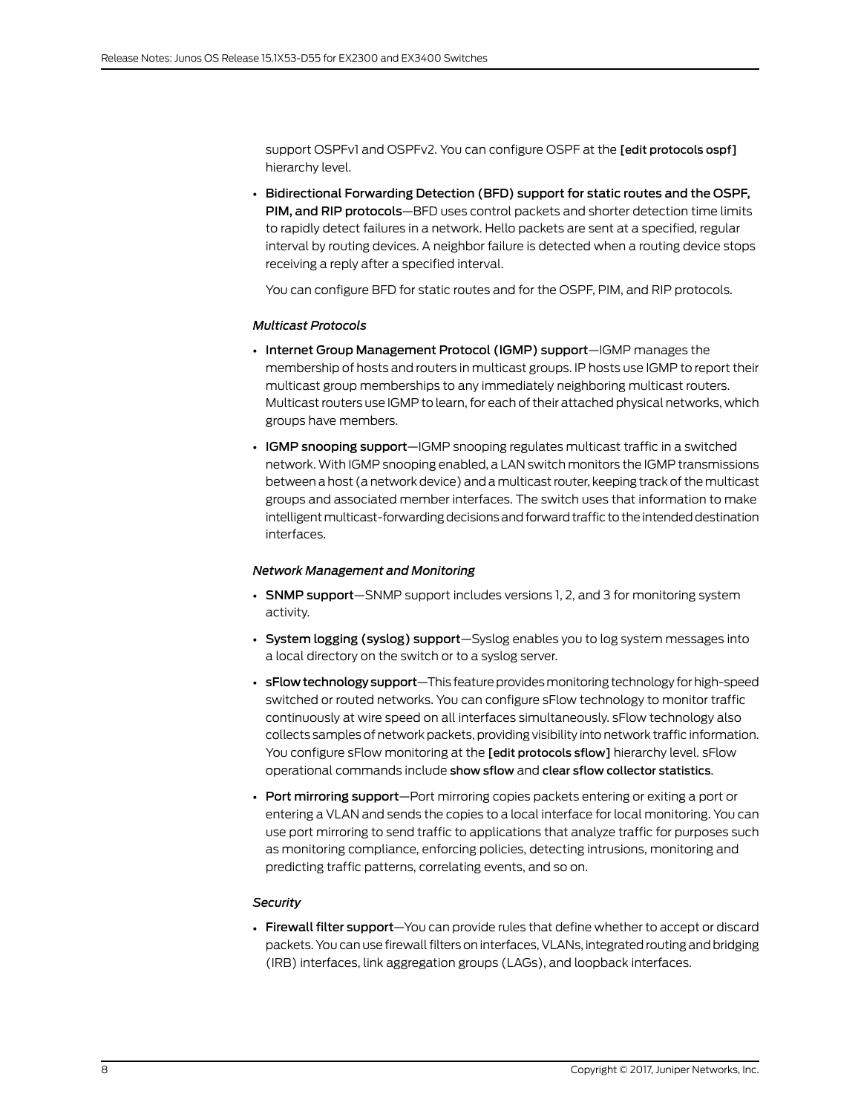support OSPFv1 and OSPFv2. You can configure OSPF at the [edit protocols ospf] hierarchy level.

• Bidirectional Forwarding Detection (BFD) support for static routes and the OSPF, PIM, and RIP protocols—BFD uses control packets and shorter detection time limits to rapidly detect failures in a network. Hello packets are sent at a specified, regular interval by routing devices. A neighbor failure is detected when a routing device stops receiving a reply after a specified interval.

<span id="page-7-0"></span>You can configure BFD for static routes and for the OSPF, PIM, and RIP protocols.

### *Multicast Protocols*

- Internet Group Management Protocol (IGMP) support—IGMP manages the membership of hosts and routers in multicast groups. IP hosts use IGMP to report their multicast group memberships to any immediately neighboring multicast routers. Multicast routers use IGMP to learn, for each of their attached physical networks, which groups have members.
- IGMP snooping support-IGMP snooping regulates multicast traffic in a switched network. With IGMP snooping enabled, a LAN switch monitors the IGMP transmissions between a host (a network device) and amulticast router, keeping track of themulticast groups and associated member interfaces. The switch uses that information to make intelligent multicast-forwarding decisions and forward traffic to the intended destination interfaces.

### <span id="page-7-1"></span>*Network Management and Monitoring*

- SNMP support-SNMP support includes versions 1, 2, and 3 for monitoring system activity.
- System logging (syslog) support—Syslog enables you to log system messages into a local directory on the switch or to a syslog server.
- **sFlow technology support**—This feature provides monitoring technology for high-speed switched or routed networks. You can configure sFlow technology to monitor traffic continuously at wire speed on all interfaces simultaneously. sFlow technology also collects samples of network packets, providing visibility into network traffic information. You configure sFlow monitoring at the **[edit protocols sflow]** hierarchy level. sFlow operational commands include show sflow and clear sflow collector statistics.
- <span id="page-7-2"></span>• Port mirroring support-Port mirroring copies packets entering or exiting a port or entering a VLAN and sends the copies to a local interface for local monitoring. You can use port mirroring to send traffic to applications that analyze traffic for purposes such as monitoring compliance, enforcing policies, detecting intrusions, monitoring and predicting traffic patterns, correlating events, and so on.

### *Security*

• Firewall filter support—You can provide rules that define whether to accept or discard packets. You can use firewall filters on interfaces, VLANs, integrated routing and bridging (IRB) interfaces, link aggregation groups (LAGs), and loopback interfaces.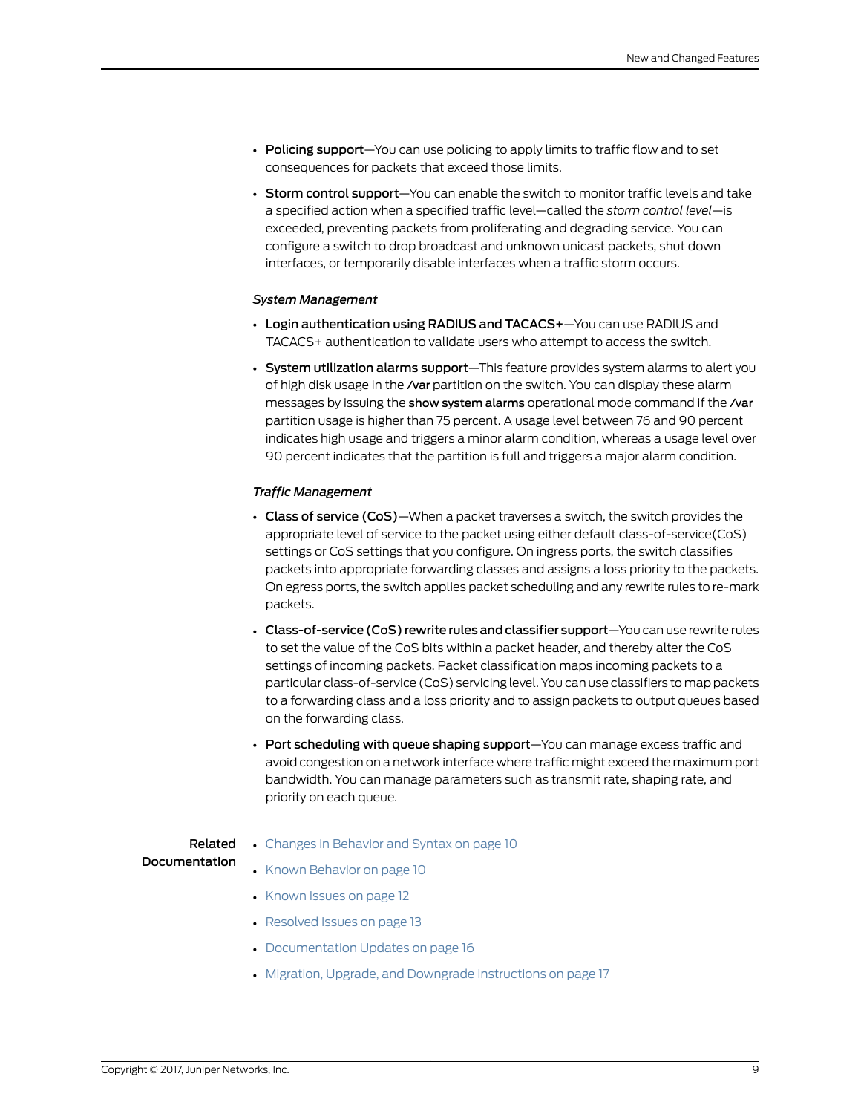- Policing support-You can use policing to apply limits to traffic flow and to set consequences for packets that exceed those limits.
- Storm control support—You can enable the switch to monitor traffic levels and take a specified action when a specified traffic level—called the *storm control level*—is exceeded, preventing packets from proliferating and degrading service. You can configure a switch to drop broadcast and unknown unicast packets, shut down interfaces, or temporarily disable interfaces when a traffic storm occurs.

### <span id="page-8-0"></span>*System Management*

- Login authentication using RADIUS and TACACS+—You can use RADIUS and TACACS+ authentication to validate users who attempt to access the switch.
- System utilization alarms support—This feature provides system alarms to alert you of high disk usage in the /var partition on the switch. You can display these alarm messages by issuing the show system alarms operational mode command if the /var partition usage is higher than 75 percent. A usage level between 76 and 90 percent indicates high usage and triggers a minor alarm condition, whereas a usage level over 90 percent indicates that the partition is full and triggers a major alarm condition.

### <span id="page-8-1"></span>*Traffic Management*

- Class of service (CoS)—When a packet traverses a switch, the switch provides the appropriate level of service to the packet using either default class-of-service(CoS) settings or CoS settings that you configure. On ingress ports, the switch classifies packets into appropriate forwarding classes and assigns a loss priority to the packets. On egress ports, the switch applies packet scheduling and any rewrite rules to re-mark packets.
- Class-of-service (CoS) rewrite rules and classifier support—You can use rewrite rules to set the value of the CoS bits within a packet header, and thereby alter the CoS settings of incoming packets. Packet classification maps incoming packets to a particular class-of-service (CoS) servicing level. You can use classifiers to map packets to a forwarding class and a loss priority and to assign packets to output queues based on the forwarding class.
- Port scheduling with queue shaping support—You can manage excess traffic and avoid congestion on a network interface where traffic might exceed the maximum port bandwidth. You can manage parameters such as transmit rate, shaping rate, and priority on each queue.

# Documentation

- Related Changes in [Behavior](#page-9-0) and Syntax on page 10
	- Known [Behavior](#page-9-2) on page 10
		- [Known](#page-11-0) Issues on page 12
		- [Resolved](#page-12-2) Issues on page 13
		- [Documentation](#page-15-0) Updates on page 16
		- Migration, Upgrade, and Downgrade [Instructions](#page-16-0) on page 17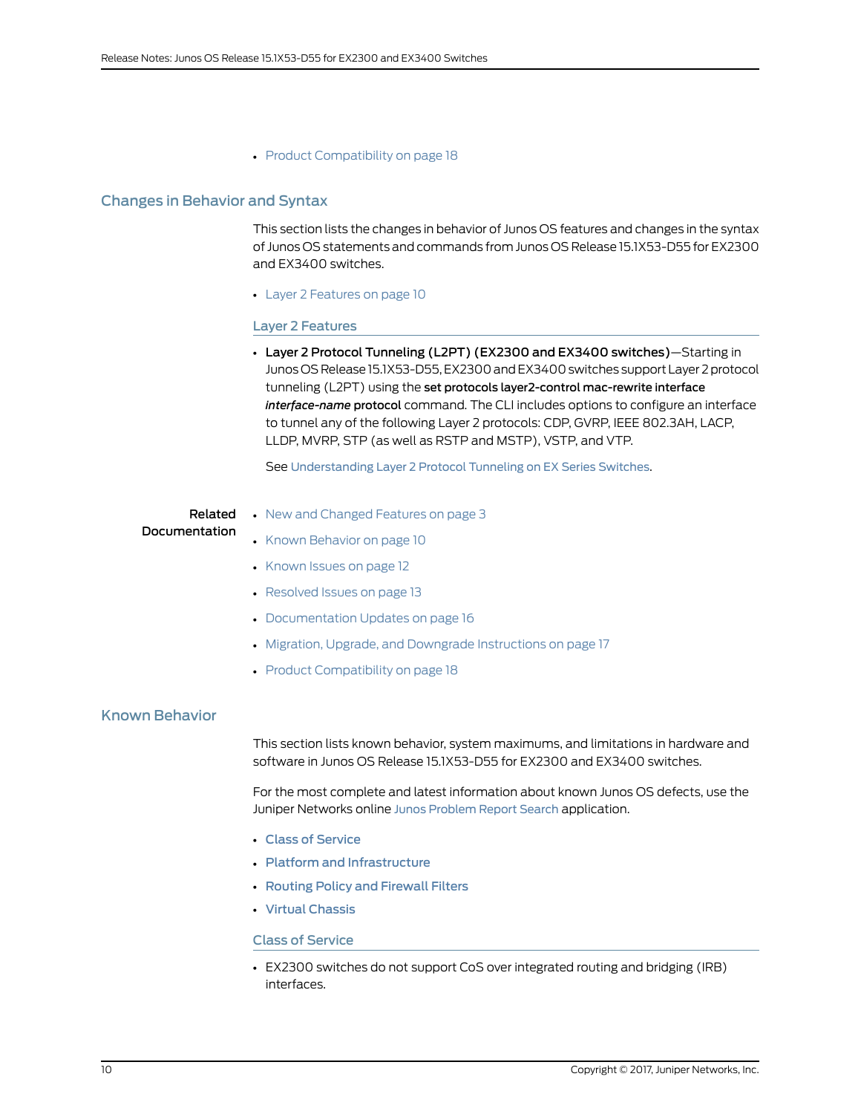### • Product [Compatibility](#page-17-0) on page 18

### <span id="page-9-0"></span>Changes in Behavior and Syntax

This section lists the changes in behavior of Junos OS features and changes in the syntax of Junos OS statements and commands from Junos OS Release 15.1X53-D55 for EX2300 and EX3400 switches.

<span id="page-9-1"></span>• Layer 2 [Features](#page-9-1) on [page](#page-9-1) 10

### Layer 2 Features

• Layer 2 Protocol Tunneling (L2PT) (EX2300 and EX3400 switches)—Starting in Junos OS Release 15.1X53-D55, EX2300 andEX3400 switches support Layer 2protocol tunneling (L2PT) using the set protocols layer2-control mac-rewrite interface *interface-name* protocol command. The CLI includes options to configure an interface to tunnel any of the following Layer 2 protocols: CDP, GVRP, IEEE 802.3AH, LACP, LLDP, MVRP, STP (as well as RSTP and MSTP), VSTP, and VTP.

See [Understanding](http://www.juniper.net/documentation/en_US/junos/topics/concept/l2pt-ex-series-els.html) Layer 2 Protocol Tunneling on EX Series Switches.

#### Related • New and [Changed](#page-2-1) Features on page 3 Documentation

- Known [Behavior](#page-9-2) on page 10
- [Known](#page-11-0) Issues on page 12
- [Resolved](#page-12-2) Issues on page 13
- [Documentation](#page-15-0) Updates on page 16
- Migration, Upgrade, and Downgrade [Instructions](#page-16-0) on page 17
- Product [Compatibility](#page-17-0) on page 18

### <span id="page-9-2"></span>Known Behavior

This section lists known behavior, system maximums, and limitations in hardware and software in Junos OS Release 15.1X53-D55 for EX2300 and EX3400 switches.

For the most complete and latest information about known Junos OS defects, use the Juniper Networks online Junos [Problem](http://prsearch.juniper.net) Report Search application.

- <span id="page-9-3"></span>• Class of [Service](#page-9-3)
- Platform and [Infrastructure](#page-10-0)
- Routing Policy and [Firewall](#page-10-1) Filters
- Virtual [Chassis](#page-10-2)

### Class of Service

• EX2300 switches do not support CoS over integrated routing and bridging (IRB) interfaces.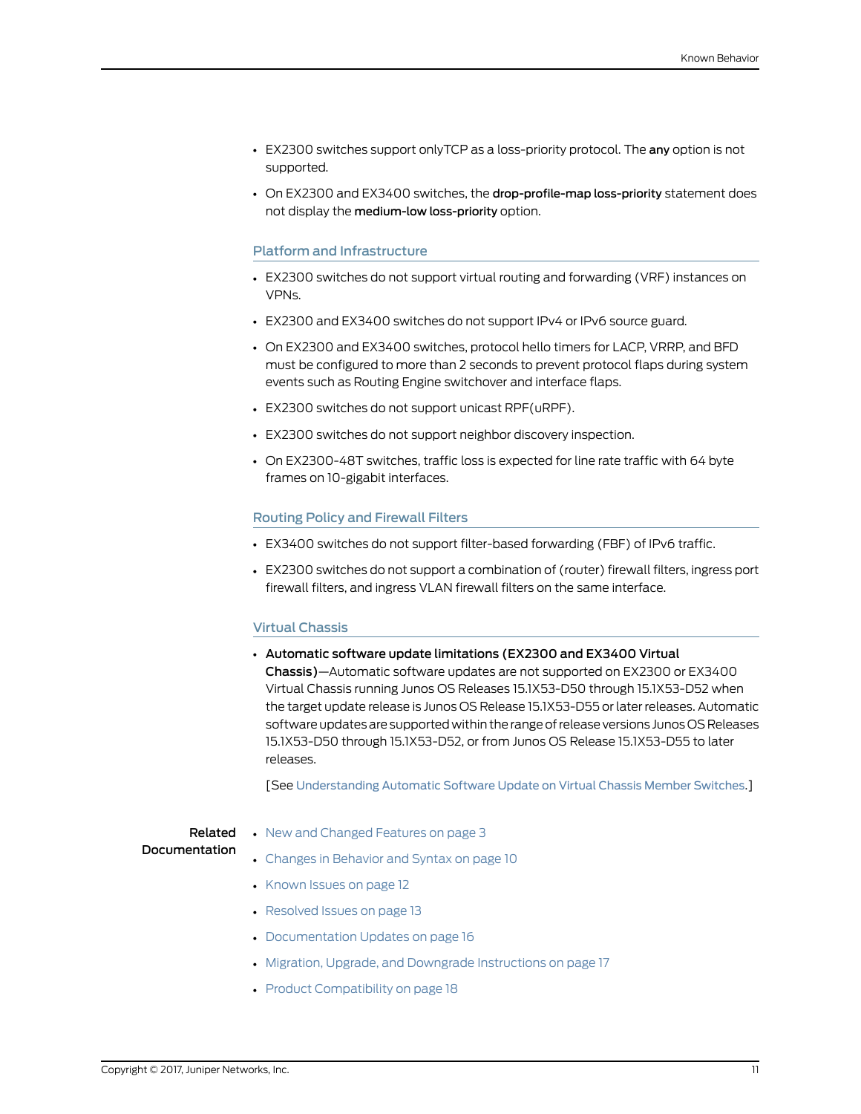- EX2300 switches support onlyTCP as a loss-priority protocol. The any option is not supported.
- On EX2300 and EX3400 switches, the drop-profile-map loss-priority statement does not display the medium-low loss-priority option.

### <span id="page-10-0"></span>Platform and Infrastructure

- EX2300 switches do not support virtual routing and forwarding (VRF) instances on VPNs.
- EX2300 and EX3400 switches do not support IPv4 or IPv6 source guard.
- On EX2300 and EX3400 switches, protocol hello timers for LACP, VRRP, and BFD must be configured to more than 2 seconds to prevent protocol flaps during system events such as Routing Engine switchover and interface flaps.
- EX2300 switches do not support unicast RPF(uRPF).
- EX2300 switches do not support neighbor discovery inspection.
- <span id="page-10-1"></span>• On EX2300-48T switches, traffic loss is expected for line rate traffic with 64 byte frames on 10-gigabit interfaces.

### Routing Policy and Firewall Filters

- EX3400 switches do not support filter-based forwarding (FBF) of IPv6 traffic.
- <span id="page-10-2"></span>• EX2300 switches do not support a combination of (router) firewall filters, ingress port firewall filters, and ingress VLAN firewall filters on the same interface.

#### Virtual Chassis

• Automatic software update limitations (EX2300 and EX3400 Virtual Chassis)—Automatic software updates are not supported on EX2300 or EX3400 Virtual Chassis running Junos OS Releases 15.1X53-D50 through 15.1X53-D52 when the target update release is Junos OS Release 15.1X53-D55 or later releases. Automatic software updates are supported within the range of release versions Junos OS Releases 15.1X53-D50 through 15.1X53-D52, or from Junos OS Release 15.1X53-D55 to later releases.

[See [Understanding](http://www.juniper.net/documentation/en_US/junos/topics/concept/virtual-chassis-ex4200-software-automatic-update.html) Automatic Software Update on Virtual Chassis Member Switches.]

### Related Documentation

- New and [Changed](#page-2-1) Features on page 3
- Changes in [Behavior](#page-9-0) and Syntax on page 10
	- [Known](#page-11-0) Issues on page 12
	- [Resolved](#page-12-2) Issues on page 13
	- [Documentation](#page-15-0) Updates on page 16
	- Migration, Upgrade, and Downgrade [Instructions](#page-16-0) on page 17
	- Product [Compatibility](#page-17-0) on page 18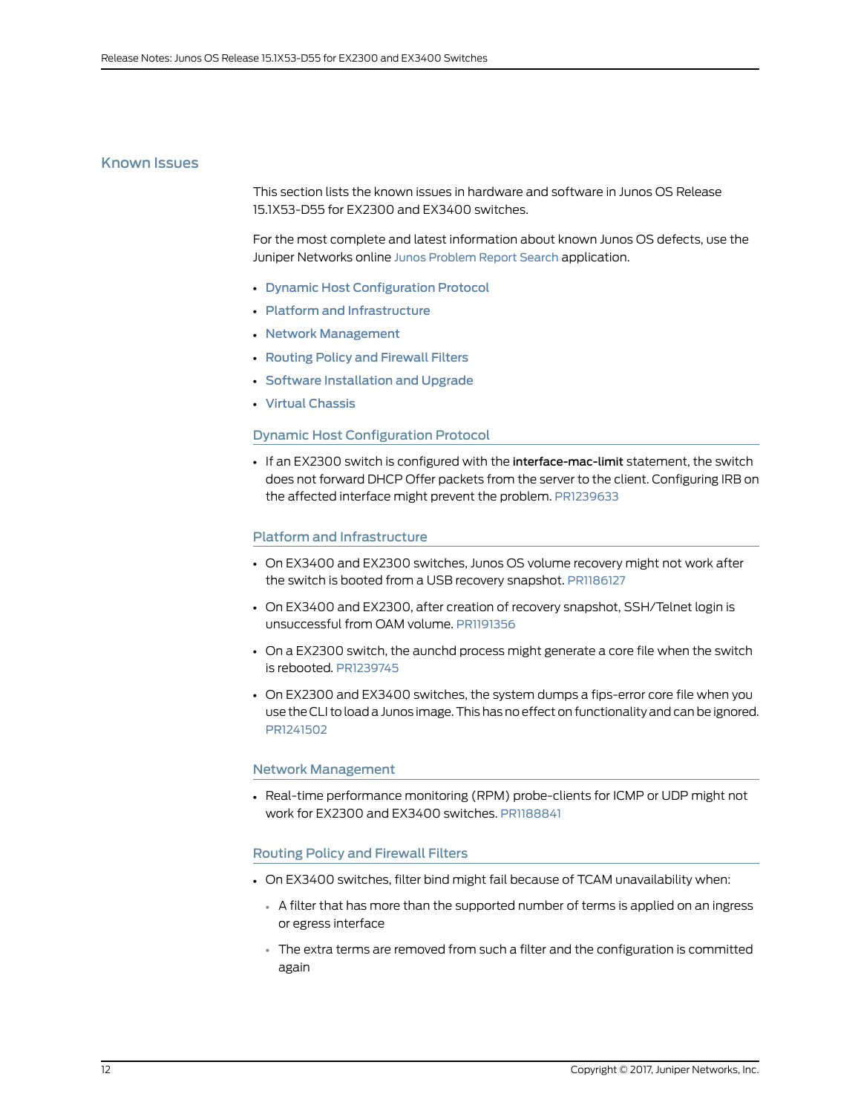### <span id="page-11-0"></span>Known Issues

This section lists the known issues in hardware and software in Junos OS Release 15.1X53-D55 for EX2300 and EX3400 switches.

For the most complete and latest information about known Junos OS defects, use the Juniper Networks online Junos [Problem](http://prsearch.juniper.net) Report Search application.

- Dynamic Host [Configuration](#page-11-1) Protocol
- Platform and [Infrastructure](#page-11-2)
- Network [Management](#page-11-3)
- Routing Policy and [Firewall](#page-11-4) Filters
- <span id="page-11-1"></span>• Software [Installation](#page-12-0) and Upgrade
- Virtual [Chassis](#page-12-1)

### Dynamic Host Configuration Protocol

<span id="page-11-2"></span>• If an EX2300 switch is configured with the interface-mac-limit statement, the switch does not forward DHCP Offer packets from the server to the client. Configuring IRB on the affected interface might prevent the problem. [PR1239633](http://prsearch.juniper.net/PR1239633)

### Platform and Infrastructure

- On EX3400 and EX2300 switches, Junos OS volume recovery might not work after the switch is booted from a USB recovery snapshot. [PR1186127](http://prsearch.juniper.net/PR1186127)
- On EX3400 and EX2300, after creation of recovery snapshot, SSH/Telnet login is unsuccessful from OAM volume. [PR1191356](http://prsearch.juniper.net/PR1191356)
- On a EX2300 switch, the aunchd process might generate a core file when the switch is rebooted. [PR1239745](http://prsearch.juniper.net/PR1239745)
- <span id="page-11-3"></span>• On EX2300 and EX3400 switches, the system dumps a fips-error core file when you use the CLI to load a Junos image.This has no effect on functionality and can be ignored. [PR1241502](http://prsearch.juniper.net/PR1241502)

### <span id="page-11-4"></span>Network Management

• Real-time performance monitoring (RPM) probe-clients for ICMP or UDP might not work for EX2300 and EX3400 switches. [PR1188841](http://prsearch.juniper.net/PR1188841)

### Routing Policy and Firewall Filters

- On EX3400 switches, filter bind might fail because of TCAM unavailability when:
	- A filter that has more than the supported number of terms is applied on an ingress or egress interface
	- The extra terms are removed from such a filter and the configuration is committed again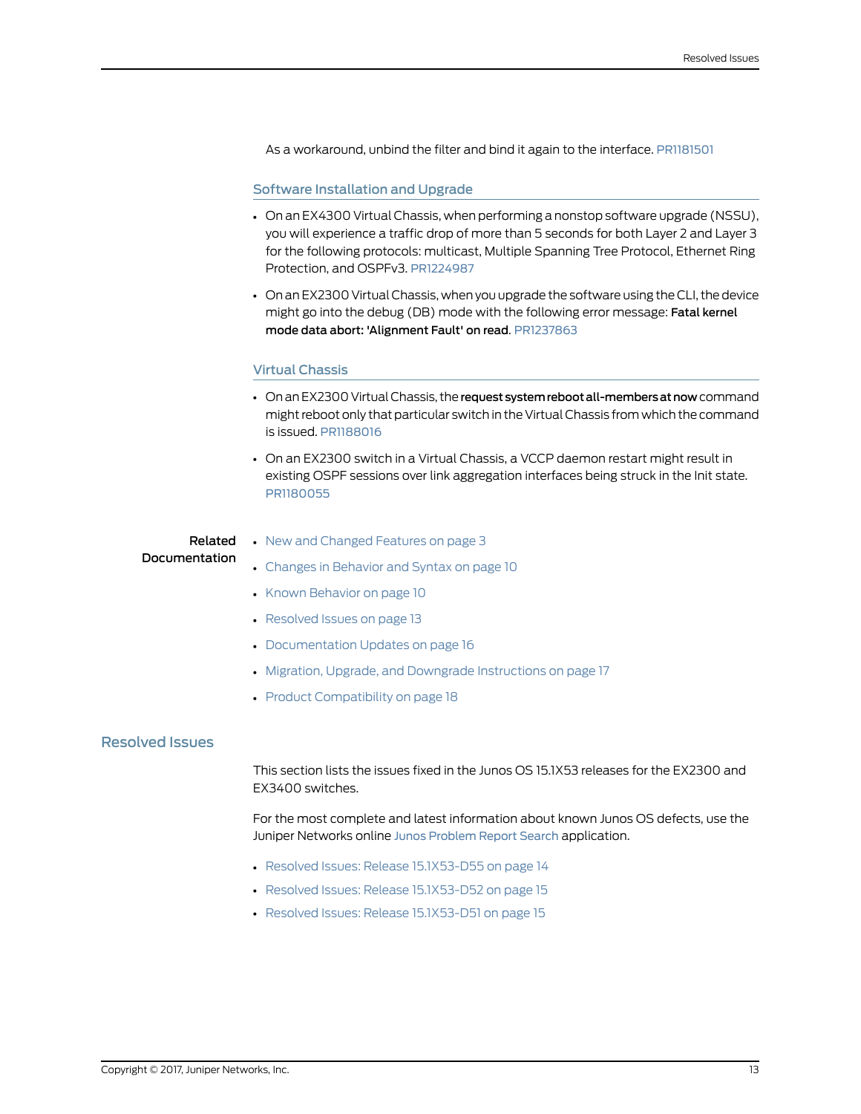As a workaround, unbind the filter and bind it again to the interface. [PR1181501](http://prsearch.juniper.net/PR1181501)

### <span id="page-12-0"></span>Software Installation and Upgrade

- On an EX4300 Virtual Chassis, when performing a nonstop software upgrade (NSSU), you will experience a traffic drop of more than 5 seconds for both Layer 2 and Layer 3 for the following protocols: multicast, Multiple Spanning Tree Protocol, Ethernet Ring Protection, and OSPFv3. [PR1224987](http://prsearch.juniper.net/PR1224987)
- <span id="page-12-1"></span>• On an EX2300 Virtual Chassis, when you upgrade the software using the CLI, the device might go into the debug (DB) mode with the following error message: Fatal kernel mode data abort: 'Alignment Fault' on read. [PR1237863](http://prsearch.juniper.net/PR1237863)

### Virtual Chassis

- On an EX2300 Virtual Chassis, the request system reboot all-members at now command might reboot only that particular switch in the Virtual Chassis fromwhich the command is issued. [PR1188016](http://prsearch.juniper.net/PR1188016)
- On an EX2300 switch in a Virtual Chassis, a VCCP daemon restart might result in existing OSPF sessions over link aggregation interfaces being struck in the Init state. [PR1180055](http://prsearch.juniper.net/PR1180055)

#### Related Documentation • New and [Changed](#page-2-1) Features on page 3

- Changes in [Behavior](#page-9-0) and Syntax on page 10
- Known [Behavior](#page-9-2) on page 10
- [Resolved](#page-12-2) Issues on page 13
- [Documentation](#page-15-0) Updates on page 16
- Migration, Upgrade, and Downgrade [Instructions](#page-16-0) on page 17
- Product [Compatibility](#page-17-0) on page 18

### <span id="page-12-2"></span>Resolved Issues

This section lists the issues fixed in the Junos OS 15.1X53 releases for the EX2300 and EX3400 switches.

For the most complete and latest information about known Junos OS defects, use the Juniper Networks online Junos [Problem](http://prsearch.juniper.net) Report Search application.

- Resolved Issues: Release [15.1X53-D55](#page-13-0) on [page](#page-13-0) 14
- Resolved Issues: Release [15.1X53-D52](#page-14-0) on [page](#page-14-0) 15
- Resolved Issues: Release [15.1X53-D51](#page-14-1) on [page](#page-14-1) 15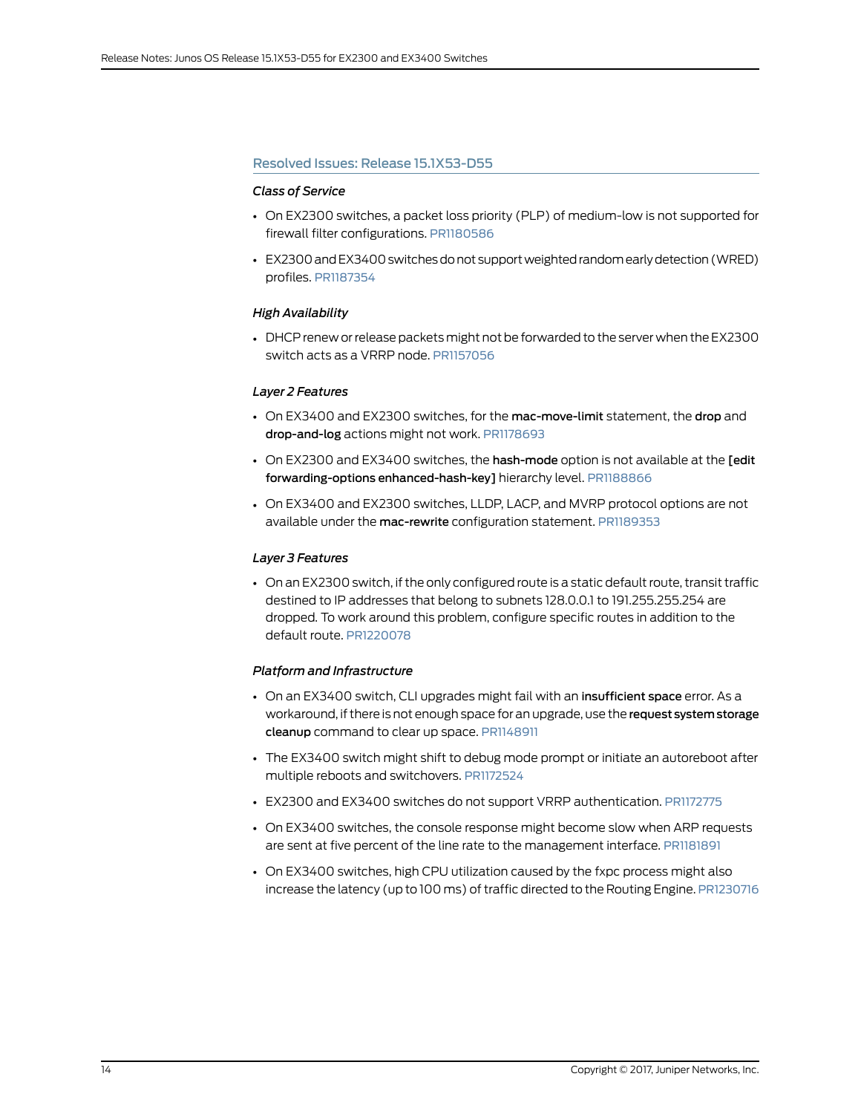### <span id="page-13-0"></span>Resolved Issues: Release 15.1X53-D55

### *Class of Service*

- On EX2300 switches, a packet loss priority (PLP) of medium-low is not supported for firewall filter configurations. [PR1180586](http://prsearch.juniper.net/PR1180586)
- EX2300 and EX3400 switches do not support weighted random early detection (WRED) profiles. [PR1187354](http://prsearch.juniper.net/PR1187354)

### *High Availability*

• DHCP renew or release packets might not be forwarded to the server when the EX2300 switch acts as a VRRP node. [PR1157056](http://prsearch.juniper.net/PR1157056)

### *Layer 2 Features*

- On EX3400 and EX2300 switches, for the mac-move-limit statement, the drop and drop-and-log actions might not work. [PR1178693](http://prsearch.juniper.net/PR1178693)
- On EX2300 and EX3400 switches, the hash-mode option is not available at the [edit forwarding-options enhanced-hash-key] hierarchy level. [PR1188866](http://prsearch.juniper.net/PR1188866)
- On EX3400 and EX2300 switches, LLDP, LACP, and MVRP protocol options are not available under the mac-rewrite configuration statement. [PR1189353](http://prsearch.juniper.net/PR1189353)

### *Layer 3 Features*

• On an EX2300 switch, if the only configured route is a static default route, transit traffic destined to IP addresses that belong to subnets 128.0.0.1 to 191.255.255.254 are dropped. To work around this problem, configure specific routes in addition to the default route. [PR1220078](http://prsearch.juniper.net/PR1220078)

### *Platform and Infrastructure*

- On an EX3400 switch, CLI upgrades might fail with an insufficient space error. As a workaround, if there is not enough space for an upgrade, use the request systemstorage cleanup command to clear up space. [PR1148911](http://prsearch.juniper.net/PR1148911)
- The EX3400 switch might shift to debug mode prompt or initiate an autoreboot after multiple reboots and switchovers. [PR1172524](http://prsearch.juniper.net/PR1172524)
- EX2300 and EX3400 switches do not support VRRP authentication. [PR1172775](http://prsearch.juniper.net/PR1172775)
- On EX3400 switches, the console response might become slow when ARP requests are sent at five percent of the line rate to the management interface. [PR1181891](http://prsearch.juniper.net/PR1181891)
- On EX3400 switches, high CPU utilization caused by the fxpc process might also increase the latency (up to 100 ms) of traffic directed to the Routing Engine. [PR1230716](http://prsearch.juniper.net/PR1230716)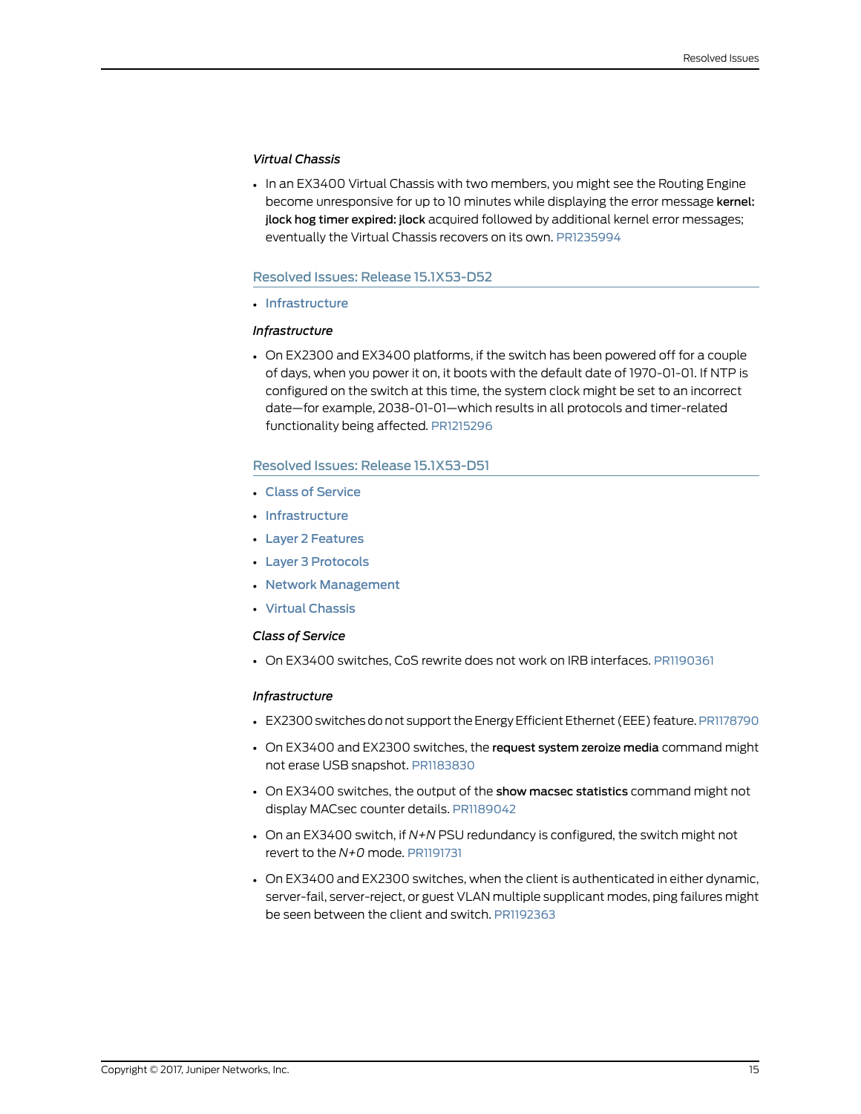### *Virtual Chassis*

• In an EX3400 Virtual Chassis with two members, you might see the Routing Engine become unresponsive for up to 10 minutes while displaying the error message kernel: jlock hog timer expired: jlock acquired followed by additional kernel error messages; eventually the Virtual Chassis recovers on its own. [PR1235994](http://prsearch.juniper.net/PR1235994)

### <span id="page-14-0"></span>Resolved Issues: Release 15.1X53-D52

<span id="page-14-2"></span>• [Infrastructure](#page-14-2)

### *Infrastructure*

• On EX2300 and EX3400 platforms, if the switch has been powered off for a couple of days, when you power it on, it boots with the default date of 1970-01-01. If NTP is configured on the switch at this time, the system clock might be set to an incorrect date—for example, 2038-01-01—which results in all protocols and timer-related functionality being affected. [PR1215296](http://prsearch.juniper.net/PR1215296)

### <span id="page-14-1"></span>Resolved Issues: Release 15.1X53-D51

- Class of [Service](#page-14-3)
- [Infrastructure](#page-14-4)
- Layer 2 [Features](#page-15-1)
- <span id="page-14-3"></span>• Layer 3 [Protocols](#page-15-2)
- Network [Management](#page-15-3)
- Virtual [Chassis](#page-15-4)

### <span id="page-14-4"></span>*Class of Service*

• On EX3400 switches, CoS rewrite does not work on IRB interfaces. [PR1190361](http://prsearch.juniper.net/PR1190361)

### *Infrastructure*

- EX2300 switches do not support the Energy Efficient Ethernet (EEE) feature. [PR1178790](http://prsearch.juniper.net/PR1178790)
- On EX3400 and EX2300 switches, the request system zeroize media command might not erase USB snapshot. [PR1183830](http://prsearch.juniper.net/PR1183830)
- On EX3400 switches, the output of the show macsec statistics command might not display MACsec counter details. [PR1189042](http://prsearch.juniper.net/PR1189042)
- On an EX3400 switch, if *N+N* PSU redundancy is configured, the switch might not revert to the *N+0* mode. [PR1191731](http://prsearch.juniper.net/PR1191731)
- On EX3400 and EX2300 switches, when the client is authenticated in either dynamic, server-fail, server-reject, or guest VLAN multiple supplicant modes, ping failures might be seen between the client and switch. [PR1192363](http://prsearch.juniper.net/PR1192363)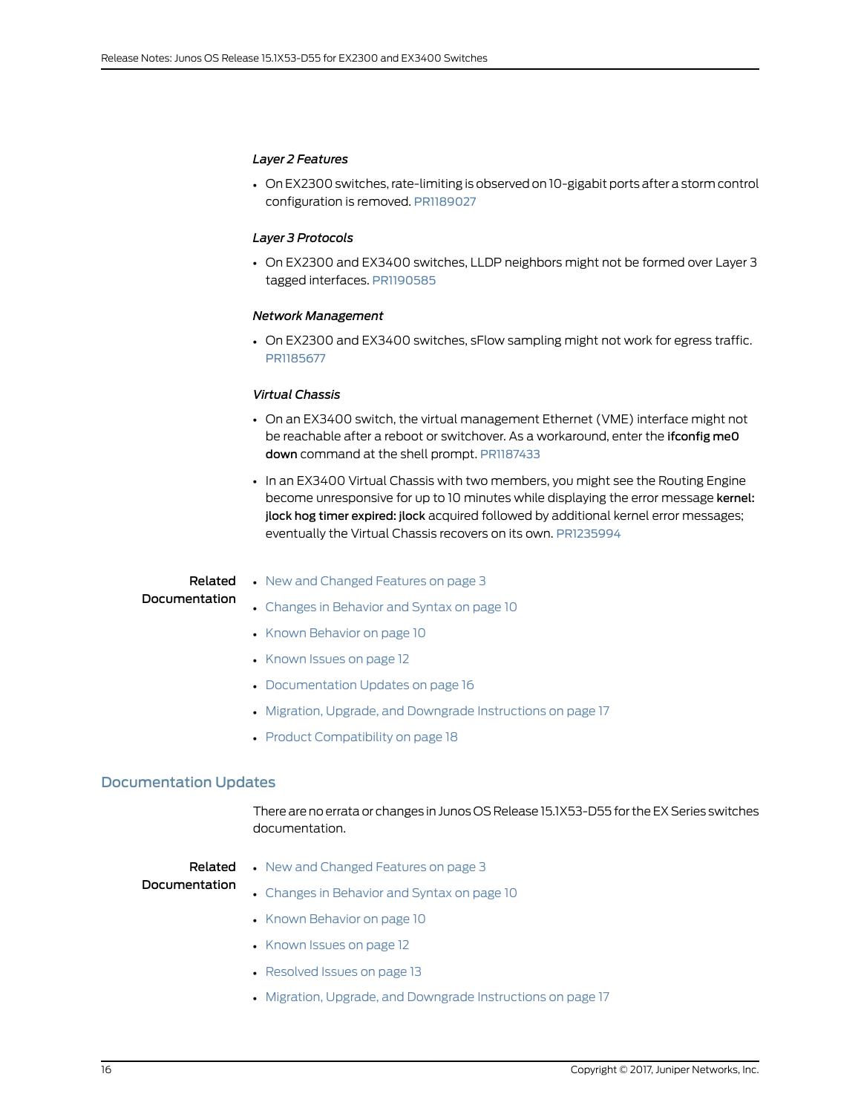### <span id="page-15-1"></span>*Layer 2 Features*

• On EX2300 switches, rate-limiting is observed on 10-gigabit ports after a storm control configuration is removed. [PR1189027](http://prsearch.juniper.net/PR1189207)

### <span id="page-15-2"></span>*Layer 3 Protocols*

<span id="page-15-3"></span>• On EX2300 and EX3400 switches, LLDP neighbors might not be formed over Layer 3 tagged interfaces. [PR1190585](http://prsearch.juniper.net/PR1190585)

### *Network Management*

<span id="page-15-4"></span>• On EX2300 and EX3400 switches, sFlow sampling might not work for egress traffic. [PR1185677](http://prsearch.juniper.net/PR1185677)

### *Virtual Chassis*

- On an EX3400 switch, the virtual management Ethernet (VME) interface might not be reachable after a reboot or switchover. As a workaround, enter the ifconfig me0 down command at the shell prompt. [PR1187433](http://prsearch.juniper.net/PR1187433)
- In an EX3400 Virtual Chassis with two members, you might see the Routing Engine become unresponsive for up to 10 minutes while displaying the error message kernel: jlock hog timer expired: jlock acquired followed by additional kernel error messages; eventually the Virtual Chassis recovers on its own. [PR1235994](http://prsearch.juniper.net/PR1235994)

## Documentation

- **Related •** New and [Changed](#page-2-1) Features on page 3
	- Changes in [Behavior](#page-9-0) and Syntax on page 10
	- Known [Behavior](#page-9-2) on page 10
	- [Known](#page-11-0) Issues on page 12
	- [Documentation](#page-15-0) Updates on page 16
	- Migration, Upgrade, and Downgrade [Instructions](#page-16-0) on page 17
	- Product [Compatibility](#page-17-0) on page 18

### <span id="page-15-0"></span>Documentation Updates

There are no errata or changes in Junos OS Release 15.1X53-D55 for the EX Series switches documentation.

### Related

• New and [Changed](#page-2-1) Features on page 3

### Documentation

- Changes in [Behavior](#page-9-0) and Syntax on page 10
- Known [Behavior](#page-9-2) on page 10
- [Known](#page-11-0) Issues on page 12
- [Resolved](#page-12-2) Issues on page 13
- Migration, Upgrade, and Downgrade [Instructions](#page-16-0) on page 17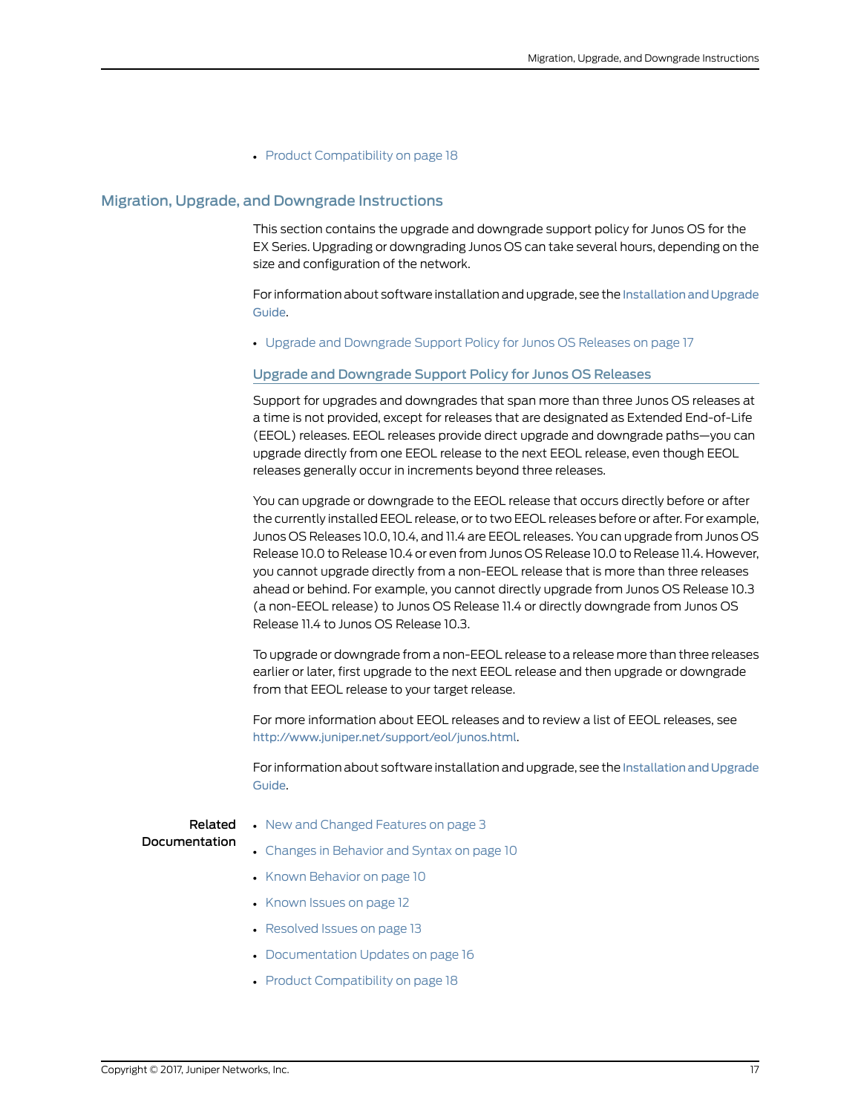• Product [Compatibility](#page-17-0) on page 18

### <span id="page-16-0"></span>Migration, Upgrade, and Downgrade Instructions

This section contains the upgrade and downgrade support policy for Junos OS for the EX Series. Upgrading or downgrading Junos OS can take several hours, depending on the size and configuration of the network.

For information about software installation and upgrade, see the Installation and Upgrade [Guide](http://www.juniper.net/techpubs/en_US/junos15.1/information-products/pathway-pages/software-installation-and-upgrade/software-installation-and-upgrade.html).

<span id="page-16-1"></span>• Upgrade and [Downgrade](#page-16-1) Support Policy for Junos OS Releases on [page](#page-16-1) 17

### Upgrade and Downgrade Support Policy for Junos OS Releases

Support for upgrades and downgrades that span more than three Junos OS releases at a time is not provided, except for releases that are designated as Extended End-of-Life (EEOL) releases. EEOL releases provide direct upgrade and downgrade paths—you can upgrade directly from one EEOL release to the next EEOL release, even though EEOL releases generally occur in increments beyond three releases.

You can upgrade or downgrade to the EEOL release that occurs directly before or after the currently installed EEOL release, or to two EEOL releases before or after. For example, Junos OS Releases 10.0, 10.4, and 11.4 are EEOL releases. You can upgrade from Junos OS Release 10.0 to Release 10.4 or even from Junos OS Release 10.0 to Release 11.4. However, you cannot upgrade directly from a non-EEOL release that is more than three releases ahead or behind. For example, you cannot directly upgrade from Junos OS Release 10.3 (a non-EEOL release) to Junos OS Release 11.4 or directly downgrade from Junos OS Release 11.4 to Junos OS Release 10.3.

To upgrade or downgrade from a non-EEOL release to a release more than three releases earlier or later, first upgrade to the next EEOL release and then upgrade or downgrade from that EEOL release to your target release.

For more information about EEOL releases and to review a list of EEOL releases, see <http://www.juniper.net/support/eol/junos.html>.

For information about software installation and upgrade, see the Installation and Upgrade [Guide](http://www.juniper.net/techpubs/en_US/junos15.1/information-products/pathway-pages/software-installation-and-upgrade/software-installation-and-upgrade.html).

### Related Documentation

- New and [Changed](#page-2-1) Features on page 3
- Changes in [Behavior](#page-9-0) and Syntax on page 10
- Known [Behavior](#page-9-2) on page 10
- [Known](#page-11-0) Issues on page 12
- [Resolved](#page-12-2) Issues on page 13
- [Documentation](#page-15-0) Updates on page 16
- Product [Compatibility](#page-17-0) on page 18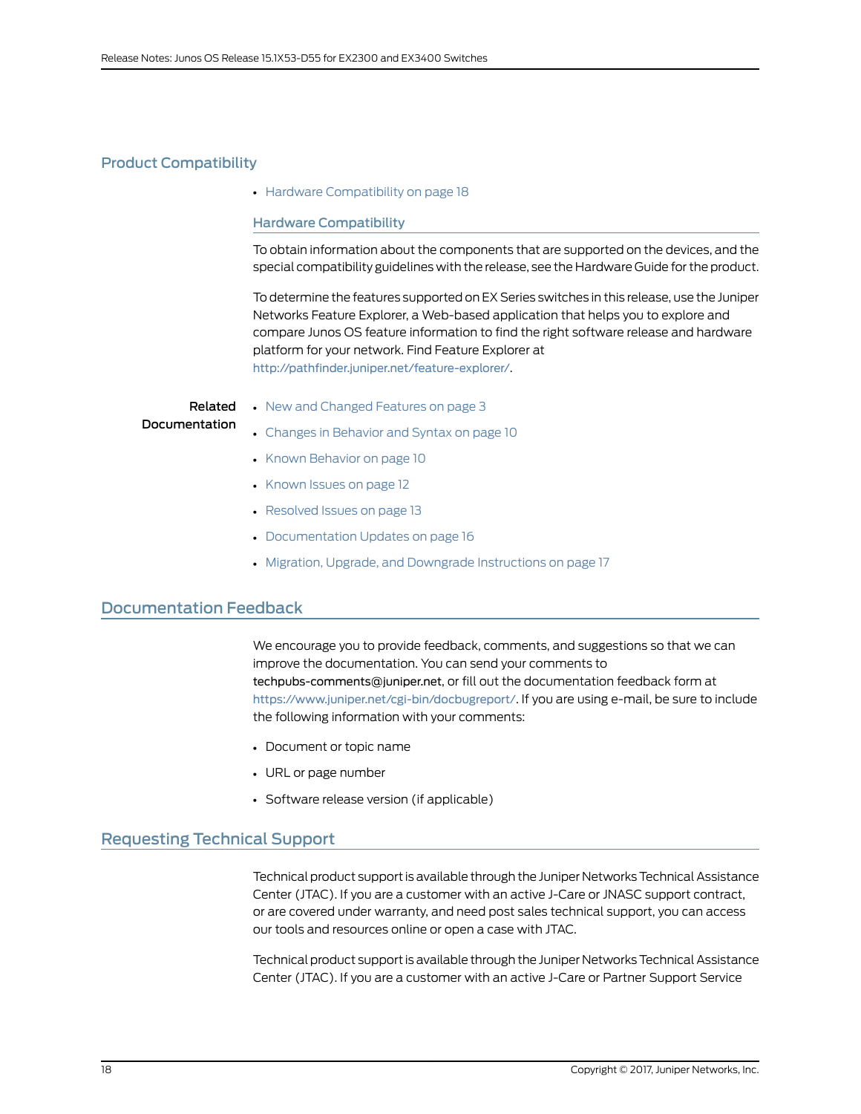### <span id="page-17-0"></span>Product Compatibility

<span id="page-17-1"></span>• Hardware [Compatibility](#page-17-1) on [page](#page-17-1) 18

### Hardware Compatibility

To obtain information about the components that are supported on the devices, and the special compatibility guidelines with the release, see the Hardware Guide for the product.

To determine the features supported on EX Series switches in this release, use the Juniper Networks Feature Explorer, a Web-based application that helps you to explore and compare Junos OS feature information to find the right software release and hardware platform for your network. Find Feature Explorer at <http://pathfinder.juniper.net/feature-explorer/>.

#### Related Documentation • New and [Changed](#page-2-1) Features on page 3 • Changes in [Behavior](#page-9-0) and Syntax on page 10

- Known [Behavior](#page-9-2) on page 10
- [Known](#page-11-0) Issues on page 12
- [Resolved](#page-12-2) Issues on page 13
- [Documentation](#page-15-0) Updates on page 16
- Migration, Upgrade, and Downgrade [Instructions](#page-16-0) on page 17

### <span id="page-17-2"></span>Documentation Feedback

We encourage you to provide feedback, comments, and suggestions so that we can improve the documentation. You can send your comments to [techpubs-comments@juniper.net](mailto:techpubs-comments@juniper.net?subject=), or fill out the documentation feedback form at <https://www.juniper.net/cgi-bin/docbugreport/>. If you are using e-mail, be sure to include the following information with your comments:

- Document or topic name
- URL or page number
- Software release version (if applicable)

### <span id="page-17-3"></span>Requesting Technical Support

Technical product support is available through the Juniper NetworksTechnical Assistance Center (JTAC). If you are a customer with an active J-Care or JNASC support contract, or are covered under warranty, and need post sales technical support, you can access our tools and resources online or open a case with JTAC.

Technical product support is available through the Juniper Networks Technical Assistance Center (JTAC). If you are a customer with an active J-Care or Partner Support Service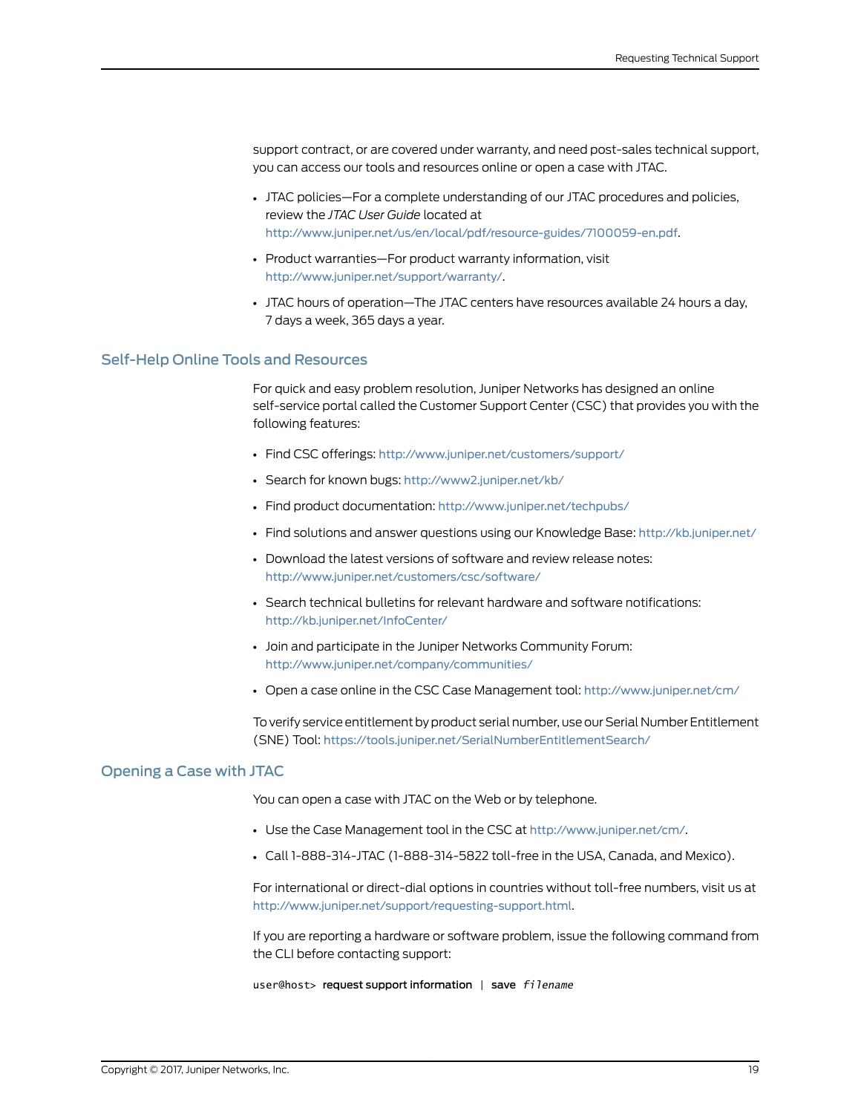support contract, or are covered under warranty, and need post-sales technical support, you can access our tools and resources online or open a case with JTAC.

- JTAC policies—For a complete understanding of our JTAC procedures and policies, review the *JTAC User Guide* located at <http://www.juniper.net/us/en/local/pdf/resource-guides/7100059-en.pdf>.
- Product warranties—For product warranty information, visit <http://www.juniper.net/support/warranty/>.
- JTAC hours of operation—The JTAC centers have resources available 24 hours a day, 7 days a week, 365 days a year.

### <span id="page-18-0"></span>Self-Help Online Tools and Resources

For quick and easy problem resolution, Juniper Networks has designed an online self-service portal called the Customer Support Center (CSC) that provides you with the following features:

- Find CSC offerings: <http://www.juniper.net/customers/support/>
- Search for known bugs: <http://www2.juniper.net/kb/>
- Find product documentation: <http://www.juniper.net/techpubs/>
- Find solutions and answer questions using our Knowledge Base: <http://kb.juniper.net/>
- Download the latest versions of software and review release notes: <http://www.juniper.net/customers/csc/software/>
- Search technical bulletins for relevant hardware and software notifications: <http://kb.juniper.net/InfoCenter/>
- Join and participate in the Juniper Networks Community Forum: <http://www.juniper.net/company/communities/>
- Open a case online in the CSC Case Management tool: <http://www.juniper.net/cm/>

To verify service entitlement by product serial number, use our Serial Number Entitlement (SNE) Tool: <https://tools.juniper.net/SerialNumberEntitlementSearch/>

### <span id="page-18-1"></span>Opening a Case with JTAC

You can open a case with JTAC on the Web or by telephone.

- Use the Case Management tool in the CSC at <http://www.juniper.net/cm/>.
- Call 1-888-314-JTAC (1-888-314-5822 toll-free in the USA, Canada, and Mexico).

For international or direct-dial options in countries without toll-free numbers, visit us at <http://www.juniper.net/support/requesting-support.html>.

If you are reporting a hardware or software problem, issue the following command from the CLI before contacting support:

user@host> request support information | save *filename*